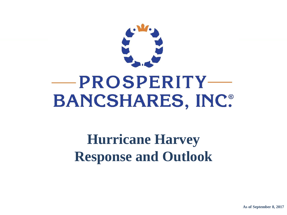

# **-PROSPERITY-BANCSHARES, INC.**

**Hurricane Harvey Response and Outlook**

**As of September 8, 2017**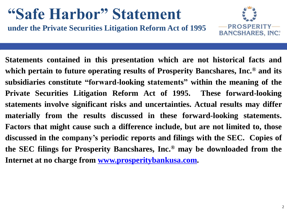## **"Safe Harbor" Statement**

**under the Private Securities Litigation Reform Act of 1995**



**Statements contained in this presentation which are not historical facts and which pertain to future operating results of Prosperity Bancshares, Inc. ® and its subsidiaries constitute "forward-looking statements" within the meaning of the Private Securities Litigation Reform Act of 1995. These forward-looking statements involve significant risks and uncertainties. Actual results may differ materially from the results discussed in these forward-looking statements. Factors that might cause such a difference include, but are not limited to, those discussed in the company's periodic reports and filings with the SEC. Copies of the SEC filings for Prosperity Bancshares, Inc. ® may be downloaded from the Internet at no charge from www.prosperitybankusa.com.**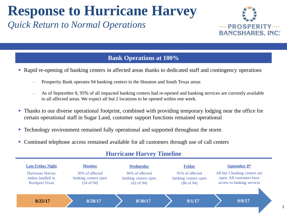### **Response to Hurricane Harvey**

### *Quick Return to Normal Operations*



3

#### **Bank Operations at 100%**

- Rapid re-opening of banking centers in affected areas thanks to dedicated staff and contingency operations
	- ‒ Prosperity Bank operates 94 banking centers in the Houston and South Texas areas
	- ‒ As of September 8, 95% of all impacted banking centers had re-opened and banking services are currently available to all affected areas. We expect all but 2 locations to be opened within one week.
- Thanks to our diverse operational footprint, combined with providing temporary lodging near the office for certain operational staff in Sugar Land, customer support functions remained operational
- **Technology environment remained fully operational and supported throughout the storm**
- Continued telephone access remained available for all customers through use of call centers



#### **Hurricane Harvey Timeline**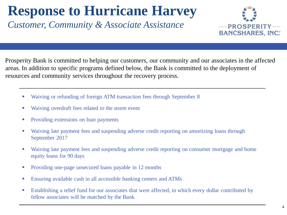## **Response to Hurricane Harvey**

*Customer, Community & Associate Assistance*



Prosperity Bank is committed to helping our customers, our community and our associates in the affected areas. In addition to specific programs defined below, the Bank is committed to the deployment of resources and community services throughout the recovery process.

- Waiving or refunding of foreign ATM transaction fees through September 8
- Waiving overdraft fees related to the storm event
- Providing extensions on loan payments
- Waiving late payment fees and suspending adverse credit reporting on amortizing loans through September 2017
- Waiving late payment fees and suspending adverse credit reporting on consumer mortgage and home equity loans for 90 days
- Providing one-page unsecured loans payable in 12 months
- **Ensuring available cash in all accessible banking centers and ATMs**
- Establishing a relief fund for our associates that were affected, in which every dollar contributed by fellow associates will be matched by the Bank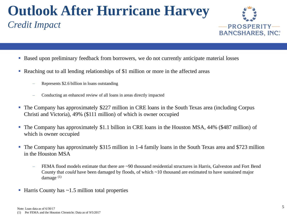## **Outlook After Hurricane Harvey**

### *Credit Impact*



- Based upon preliminary feedback from borrowers, we do not currently anticipate material losses
- Reaching out to all lending relationships of \$1 million or more in the affected areas
	- Represents \$2.6 billion in loans outstanding
	- Conducting an enhanced review of all loans in areas directly impacted
- The Company has approximately \$227 million in CRE loans in the South Texas area (including Corpus Christi and Victoria), 49% (\$111 million) of which is owner occupied
- The Company has approximately \$1.1 billion in CRE loans in the Houston MSA, 44% (\$487 million) of which is owner occupied
- The Company has approximately \$315 million in 1-4 family loans in the South Texas area and \$723 million in the Houston MSA
	- FEMA flood models estimate that there are ~90 thousand residential structures in Harris, Galveston and Fort Bend County that *could* have been damaged by floods, of which ~10 thousand are estimated to have sustained major damage (1)
- $\blacksquare$  Harris County has  $\sim$ 1.5 million total properties